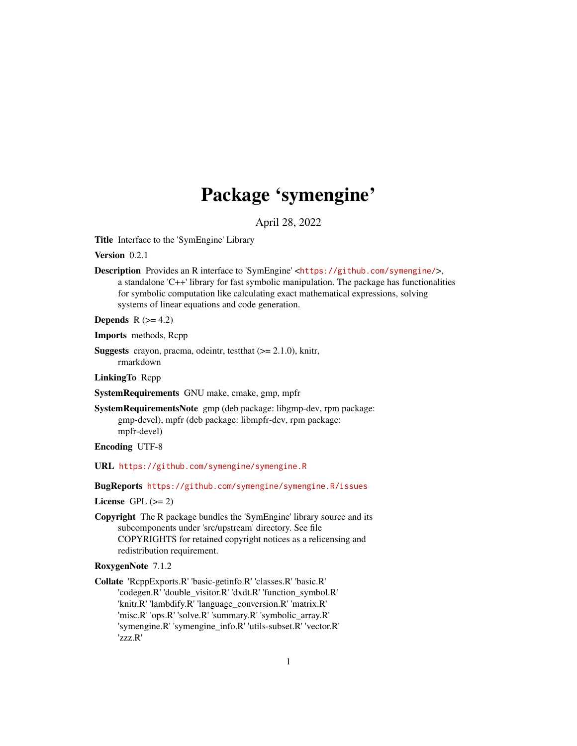# Package 'symengine'

April 28, 2022

Title Interface to the 'SymEngine' Library

Version 0.2.1

Description Provides an R interface to 'SymEngine' <<https://github.com/symengine/>>, a standalone 'C++' library for fast symbolic manipulation. The package has functionalities for symbolic computation like calculating exact mathematical expressions, solving systems of linear equations and code generation.

Depends  $R$  ( $>= 4.2$ )

Imports methods, Rcpp

**Suggests** crayon, pracma, odeintr, test that  $(>= 2.1.0)$ , knitr, rmarkdown

LinkingTo Rcpp

SystemRequirements GNU make, cmake, gmp, mpfr

SystemRequirementsNote gmp (deb package: libgmp-dev, rpm package: gmp-devel), mpfr (deb package: libmpfr-dev, rpm package: mpfr-devel)

Encoding UTF-8

URL <https://github.com/symengine/symengine.R>

BugReports <https://github.com/symengine/symengine.R/issues>

License GPL  $(>= 2)$ 

Copyright The R package bundles the 'SymEngine' library source and its subcomponents under 'src/upstream' directory. See file COPYRIGHTS for retained copyright notices as a relicensing and redistribution requirement.

#### RoxygenNote 7.1.2

Collate 'RcppExports.R' 'basic-getinfo.R' 'classes.R' 'basic.R' 'codegen.R' 'double\_visitor.R' 'dxdt.R' 'function\_symbol.R' 'knitr.R' 'lambdify.R' 'language\_conversion.R' 'matrix.R' 'misc.R' 'ops.R' 'solve.R' 'summary.R' 'symbolic\_array.R' 'symengine.R' 'symengine\_info.R' 'utils-subset.R' 'vector.R' 'zzz.R'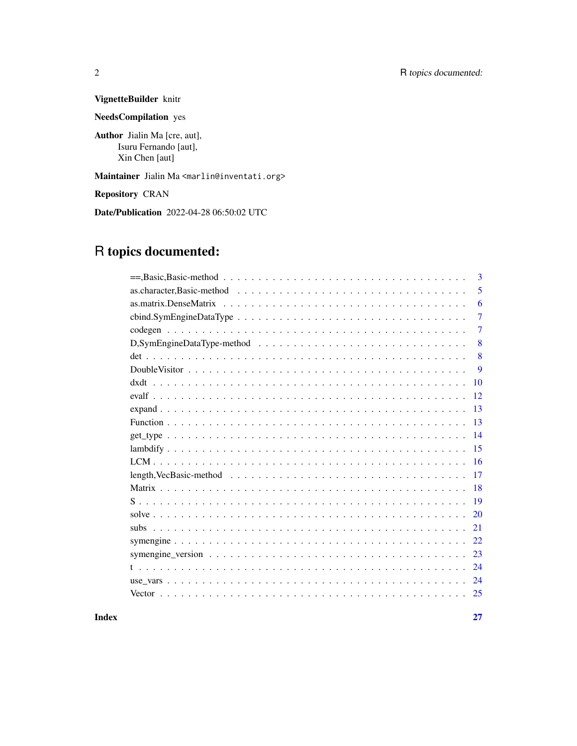## VignetteBuilder knitr

NeedsCompilation yes

Author Jialin Ma [cre, aut], Isuru Fernando [aut], Xin Chen [aut]

Maintainer Jialin Ma <marlin@inventati.org>

Repository CRAN

Date/Publication 2022-04-28 06:50:02 UTC

## R topics documented:

|    | 3 |
|----|---|
|    | 5 |
|    | 6 |
|    | 7 |
|    | 7 |
|    | 8 |
|    | 8 |
|    | 9 |
| 10 |   |
| 12 |   |
| 13 |   |
| 13 |   |
| 14 |   |
| 15 |   |
| 16 |   |
| 17 |   |
| 18 |   |
| 19 |   |
| 20 |   |
| 21 |   |
| 22 |   |
| 23 |   |
| 24 |   |
| 24 |   |
| 25 |   |

#### **Index** [27](#page-26-0)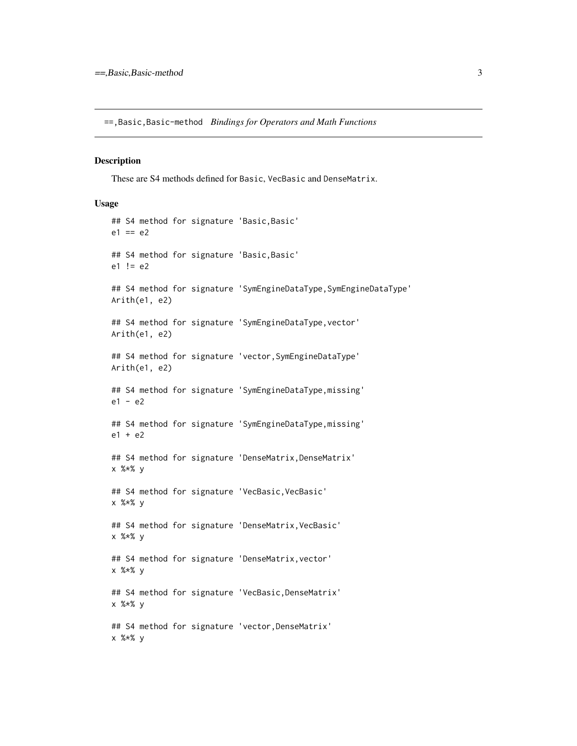<span id="page-2-0"></span>==,Basic,Basic-method *Bindings for Operators and Math Functions*

#### Description

These are S4 methods defined for Basic, VecBasic and DenseMatrix.

#### Usage

```
## S4 method for signature 'Basic,Basic'
e1 == e2## S4 method for signature 'Basic,Basic'
e1 != e2## S4 method for signature 'SymEngineDataType,SymEngineDataType'
Arith(e1, e2)
## S4 method for signature 'SymEngineDataType,vector'
Arith(e1, e2)
## S4 method for signature 'vector,SymEngineDataType'
Arith(e1, e2)
## S4 method for signature 'SymEngineDataType,missing'
e1 - e2## S4 method for signature 'SymEngineDataType,missing'
e1 + e2
## S4 method for signature 'DenseMatrix, DenseMatrix'
x %*% y
## S4 method for signature 'VecBasic, VecBasic'
x %*% y
## S4 method for signature 'DenseMatrix, VecBasic'
x %*% y
## S4 method for signature 'DenseMatrix, vector'
x %*% y
## S4 method for signature 'VecBasic,DenseMatrix'
x %*% y
## S4 method for signature 'vector,DenseMatrix'
x %*% y
```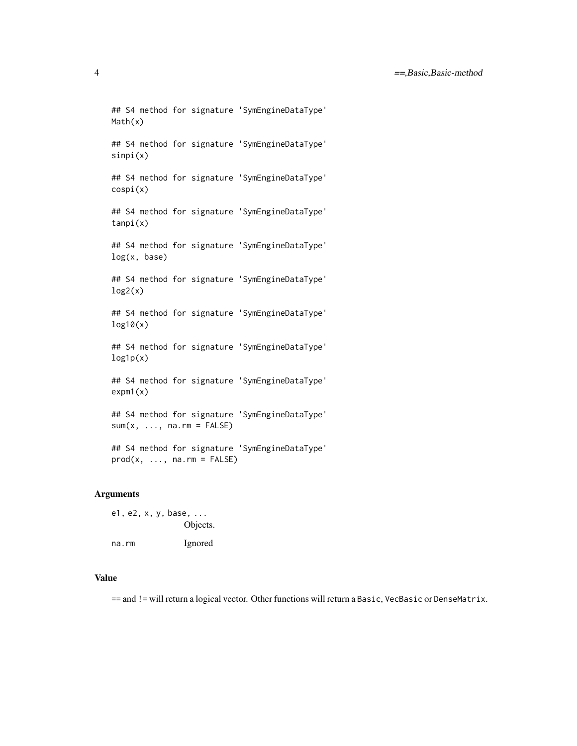```
## S4 method for signature 'SymEngineDataType'
Math(x)
## S4 method for signature 'SymEngineDataType'
sinpi(x)
## S4 method for signature 'SymEngineDataType'
cospi(x)
## S4 method for signature 'SymEngineDataType'
tanpi(x)
## S4 method for signature 'SymEngineDataType'
log(x, base)
## S4 method for signature 'SymEngineDataType'
log2(x)## S4 method for signature 'SymEngineDataType'
log10(x)
## S4 method for signature 'SymEngineDataType'
log1p(x)## S4 method for signature 'SymEngineDataType'
expm1(x)
## S4 method for signature 'SymEngineDataType'
sum(x, ..., na.rm = FALSE)## S4 method for signature 'SymEngineDataType'
```
## Arguments

e1, e2, x, y, base, ... Objects. na.rm Ignored

 $prod(x, ..., na.rm = FALSE)$ 

#### Value

== and != will return a logical vector. Other functions will return a Basic, VecBasic or DenseMatrix.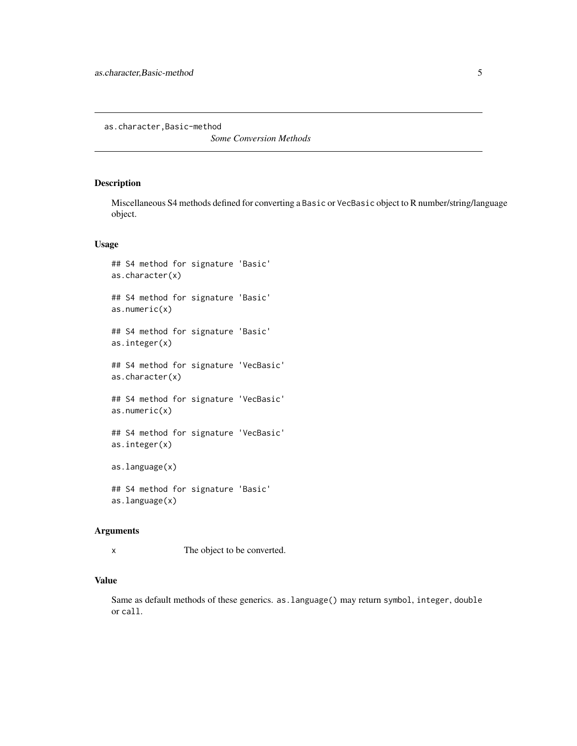<span id="page-4-0"></span>as.character,Basic-method

*Some Conversion Methods*

#### Description

Miscellaneous S4 methods defined for converting a Basic or VecBasic object to R number/string/language object.

#### Usage

```
## S4 method for signature 'Basic'
as.character(x)
## S4 method for signature 'Basic'
as.numeric(x)
## S4 method for signature 'Basic'
as.integer(x)
## S4 method for signature 'VecBasic'
as.character(x)
## S4 method for signature 'VecBasic'
as.numeric(x)
## S4 method for signature 'VecBasic'
as.integer(x)
as.language(x)
## S4 method for signature 'Basic'
as.language(x)
```
#### Arguments

x The object to be converted.

#### Value

Same as default methods of these generics. as.language() may return symbol, integer, double or call.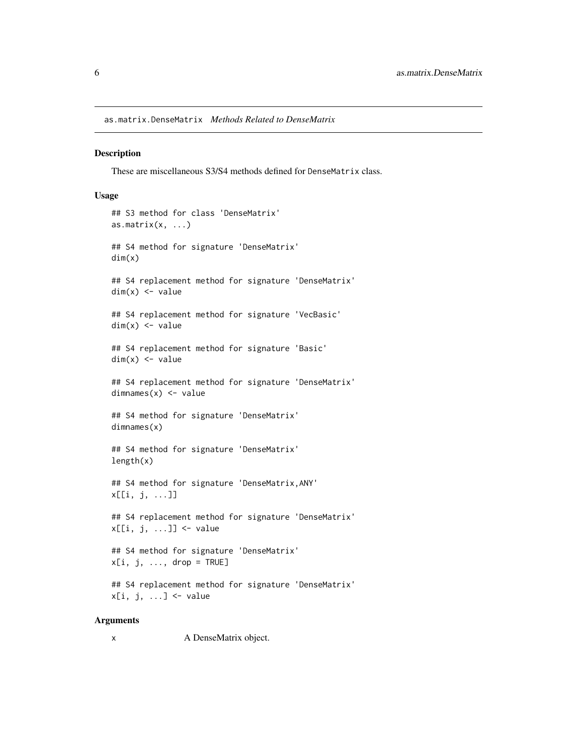<span id="page-5-0"></span>as.matrix.DenseMatrix *Methods Related to DenseMatrix*

#### Description

These are miscellaneous S3/S4 methods defined for DenseMatrix class.

#### Usage

```
## S3 method for class 'DenseMatrix'
as.matrix(x, \ldots)## S4 method for signature 'DenseMatrix'
dim(x)
## S4 replacement method for signature 'DenseMatrix'
dim(x) <- value
## S4 replacement method for signature 'VecBasic'
dim(x) <- value
## S4 replacement method for signature 'Basic'
dim(x) <- value
## S4 replacement method for signature 'DenseMatrix'
dimnames(x) <- value
## S4 method for signature 'DenseMatrix'
dimnames(x)
## S4 method for signature 'DenseMatrix'
length(x)
## S4 method for signature 'DenseMatrix,ANY'
x[[i, j, ...]]
## S4 replacement method for signature 'DenseMatrix'
x[[i, j, ...]] <- value
## S4 method for signature 'DenseMatrix'
x[i, j, ..., drop = TRUE]## S4 replacement method for signature 'DenseMatrix'
x[i, j, ...] <- value
```
#### Arguments

x A DenseMatrix object.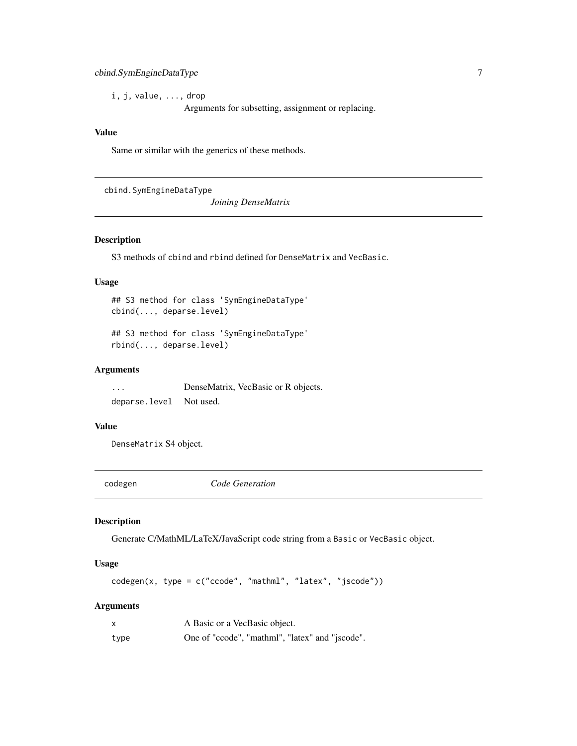#### <span id="page-6-0"></span>cbind.SymEngineDataType 7

i, j, value, ..., drop

Arguments for subsetting, assignment or replacing.

#### Value

Same or similar with the generics of these methods.

cbind.SymEngineDataType

*Joining DenseMatrix*

#### Description

S3 methods of cbind and rbind defined for DenseMatrix and VecBasic.

#### Usage

## S3 method for class 'SymEngineDataType' cbind(..., deparse.level)

## S3 method for class 'SymEngineDataType' rbind(..., deparse.level)

#### Arguments

... DenseMatrix, VecBasic or R objects. deparse.level Not used.

#### Value

DenseMatrix S4 object.

codegen *Code Generation*

#### Description

Generate C/MathML/LaTeX/JavaScript code string from a Basic or VecBasic object.

#### Usage

codegen(x, type = c("ccode", "mathml", "latex", "jscode"))

#### Arguments

| $\boldsymbol{\mathsf{x}}$ | A Basic or a VecBasic object.                   |
|---------------------------|-------------------------------------------------|
| type                      | One of "ccode", "mathml", "latex" and "jscode". |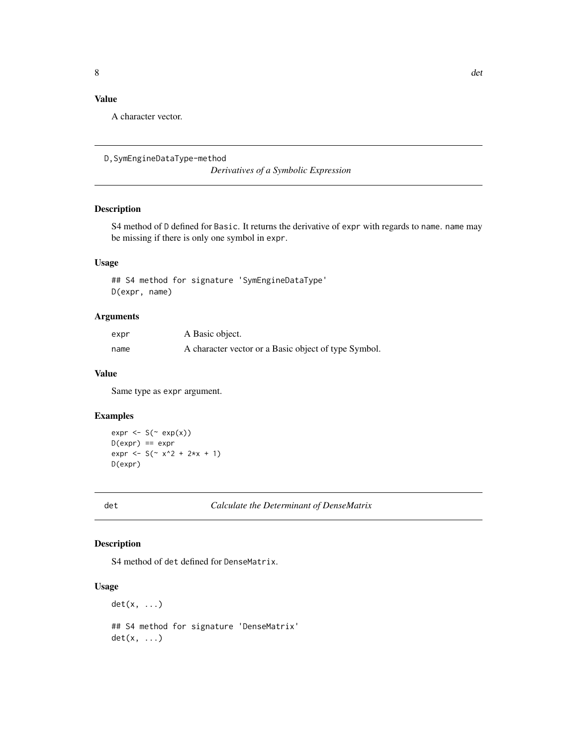### <span id="page-7-0"></span>Value

A character vector.

```
D,SymEngineDataType-method
```
*Derivatives of a Symbolic Expression*

#### Description

S4 method of D defined for Basic. It returns the derivative of expr with regards to name. name may be missing if there is only one symbol in expr.

#### Usage

## S4 method for signature 'SymEngineDataType' D(expr, name)

#### Arguments

| expr | A Basic object.                                      |
|------|------------------------------------------------------|
| name | A character vector or a Basic object of type Symbol. |

#### Value

Same type as expr argument.

#### Examples

```
expr \leftarrow S(\sim exp(x))D(exp) == exprexpr < S ( x^2 + 2*x + 1)D(expr)
```
det *Calculate the Determinant of DenseMatrix*

#### Description

S4 method of det defined for DenseMatrix.

#### Usage

 $det(x, \ldots)$ 

## S4 method for signature 'DenseMatrix'  $det(x, \ldots)$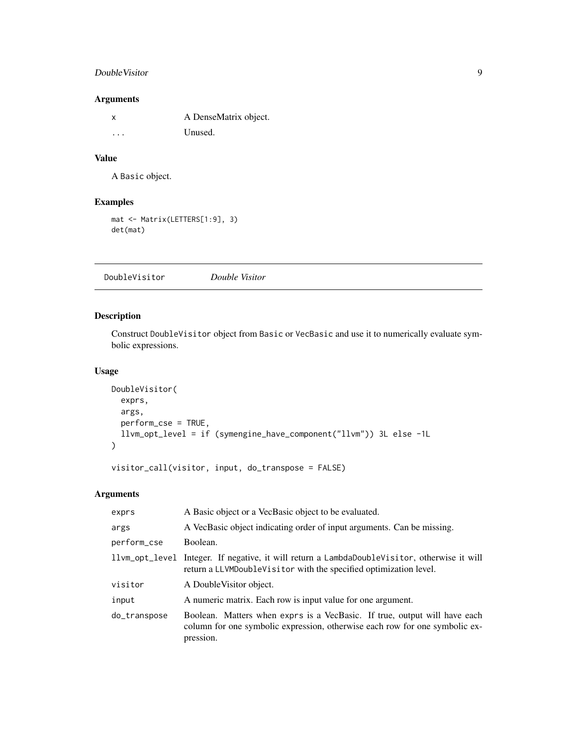#### <span id="page-8-0"></span>DoubleVisitor 9

#### Arguments

| X       | A DenseMatrix object. |
|---------|-----------------------|
| $\cdot$ | Unused.               |

#### Value

A Basic object.

#### Examples

```
mat <- Matrix(LETTERS[1:9], 3)
det(mat)
```
<span id="page-8-1"></span>DoubleVisitor *Double Visitor*

#### Description

Construct DoubleVisitor object from Basic or VecBasic and use it to numerically evaluate symbolic expressions.

#### Usage

```
DoubleVisitor(
 exprs,
 args,
 perform_cse = TRUE,
 llvm_opt_level = if (symengine_have_component("llvm")) 3L else -1L
)
```
visitor\_call(visitor, input, do\_transpose = FALSE)

#### Arguments

| exprs        | A Basic object or a VecBasic object to be evaluated.                                                                                                                  |
|--------------|-----------------------------------------------------------------------------------------------------------------------------------------------------------------------|
| args         | A VecBasic object indicating order of input arguments. Can be missing.                                                                                                |
| perform_cse  | Boolean.                                                                                                                                                              |
|              | 11vm_opt_level Integer. If negative, it will return a LambdaDoubleVisitor, otherwise it will<br>return a LLVMDoubleVisitor with the specified optimization level.     |
| visitor      | A Double Visitor object.                                                                                                                                              |
| input        | A numeric matrix. Each row is input value for one argument.                                                                                                           |
| do_transpose | Boolean. Matters when exprs is a VecBasic. If true, output will have each<br>column for one symbolic expression, otherwise each row for one symbolic ex-<br>pression. |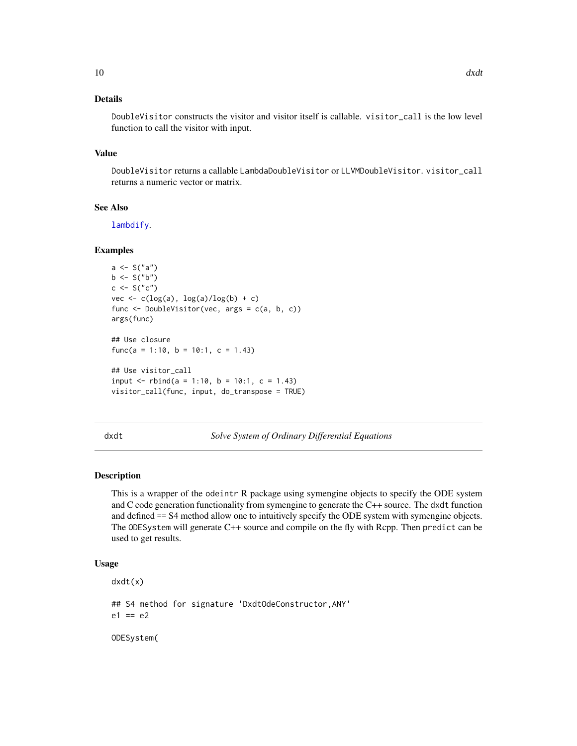#### <span id="page-9-0"></span>Details

DoubleVisitor constructs the visitor and visitor itself is callable. visitor\_call is the low level function to call the visitor with input.

#### Value

DoubleVisitor returns a callable LambdaDoubleVisitor or LLVMDoubleVisitor. visitor\_call returns a numeric vector or matrix.

#### See Also

[lambdify](#page-14-1).

#### Examples

```
a \leftarrow S("a")b <- S("b")
c \le - S("c")vec \leq c(log(a), log(a)/log(b) + c)
func <- DoubleVisitor(vec, args = c(a, b, c))
args(func)
## Use closure
func(a = 1:10, b = 10:1, c = 1.43)
## Use visitor_call
input \le- rbind(a = 1:10, b = 10:1, c = 1.43)
visitor_call(func, input, do_transpose = TRUE)
```

| I |  |
|---|--|
|   |  |

t **Solve System of Ordinary Differential Equations** 

#### Description

This is a wrapper of the odeintr R package using symengine objects to specify the ODE system and C code generation functionality from symengine to generate the C++ source. The dxdt function and defined == S4 method allow one to intuitively specify the ODE system with symengine objects. The ODESystem will generate C++ source and compile on the fly with Rcpp. Then predict can be used to get results.

#### Usage

```
dxdt(x)
## S4 method for signature 'DxdtOdeConstructor,ANY'
e1 == e2ODESystem(
```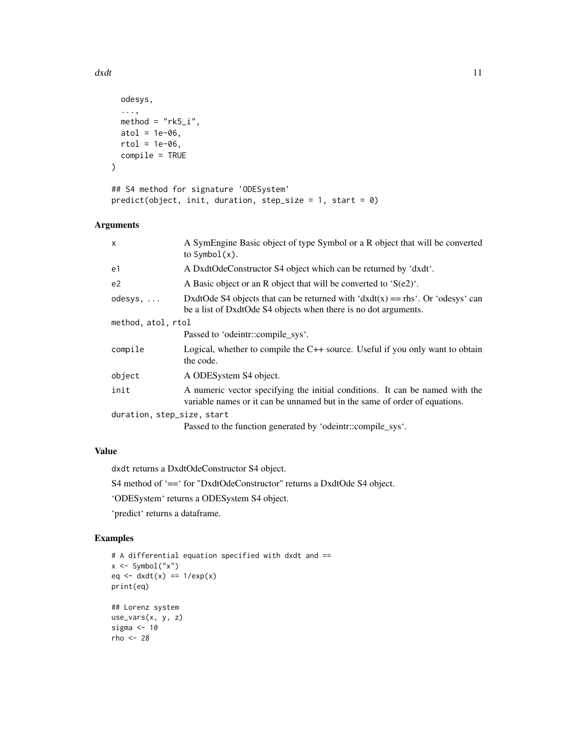```
odesys,
  ...,
 method = "rk5_i",
 atol = 1e-06,
 rtol = 1e-06,
 compile = TRUE
)
## S4 method for signature 'ODESystem'
predict(object, init, duration, step_size = 1, start = 0)
```
#### Arguments

| $\mathsf{x}$               | A SymEngine Basic object of type Symbol or a R object that will be converted<br>to $Symbol(x)$ .                                                           |  |
|----------------------------|------------------------------------------------------------------------------------------------------------------------------------------------------------|--|
| e1                         | A DxdtOdeConstructor S4 object which can be returned by 'dxdt'.                                                                                            |  |
| e <sub>2</sub>             | A Basic object or an R object that will be converted to ' $S(e2)$ '.                                                                                       |  |
| $odesys, \ldots$           | DxdtOde S4 objects that can be returned with ' $dxdt(x) = =$ rhs'. Or 'odesys' can<br>be a list of DxdtOde S4 objects when there is no dot arguments.      |  |
| method, atol, rtol         |                                                                                                                                                            |  |
|                            | Passed to 'odeintr::compile_sys'.                                                                                                                          |  |
| compile                    | Logical, whether to compile the $C++$ source. Useful if you only want to obtain<br>the code.                                                               |  |
| object                     | A ODESystem S4 object.                                                                                                                                     |  |
| init                       | A numeric vector specifying the initial conditions. It can be named with the<br>variable names or it can be unnamed but in the same of order of equations. |  |
| duration, step_size, start |                                                                                                                                                            |  |
|                            | Passed to the function generated by 'odeintr::compile_sys'.                                                                                                |  |

#### Value

dxdt returns a DxdtOdeConstructor S4 object. S4 method of '==' for "DxdtOdeConstructor" returns a DxdtOde S4 object.

'ODESystem' returns a ODESystem S4 object.

'predict' returns a dataframe.

#### Examples

```
# A differential equation specified with dxdt and ==
x \leq - Symbol("x")
eq \leftarrow dxdt(x) == 1/exp(x)print(eq)
## Lorenz system
use_vars(x, y, z)
sigma <-10rho <- 28
```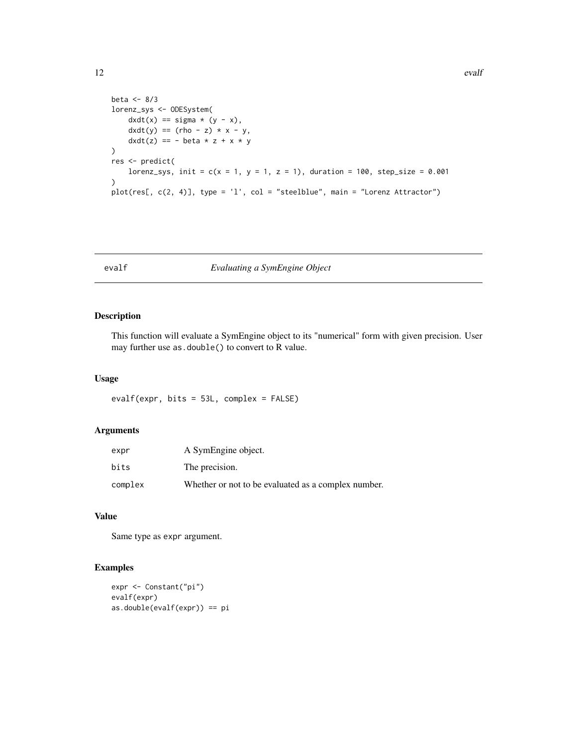```
beta <-8/3lorenz_sys <- ODESystem(
   dxdt(x) == sigma * (y - x),dxdt(y) = (rho - z) * x - y,dxdt(z) == - beta * z + x * y)
res <- predict(
   lorenz_sys, init = c(x = 1, y = 1, z = 1), duration = 100, step_size = 0.001
\lambdaplot(res[, c(2, 4)], type = 'l', col = "steelblue", main = "Lorenz Attractor")
```
#### evalf *Evaluating a SymEngine Object*

#### Description

This function will evaluate a SymEngine object to its "numerical" form with given precision. User may further use as.double() to convert to R value.

#### Usage

evalf(expr, bits = 53L, complex = FALSE)

#### Arguments

| expr    | A SymEngine object.                                 |
|---------|-----------------------------------------------------|
| bits    | The precision.                                      |
| complex | Whether or not to be evaluated as a complex number. |

#### Value

Same type as expr argument.

#### Examples

```
expr <- Constant("pi")
evalf(expr)
as.double(evalf(expr)) == pi
```
<span id="page-11-0"></span>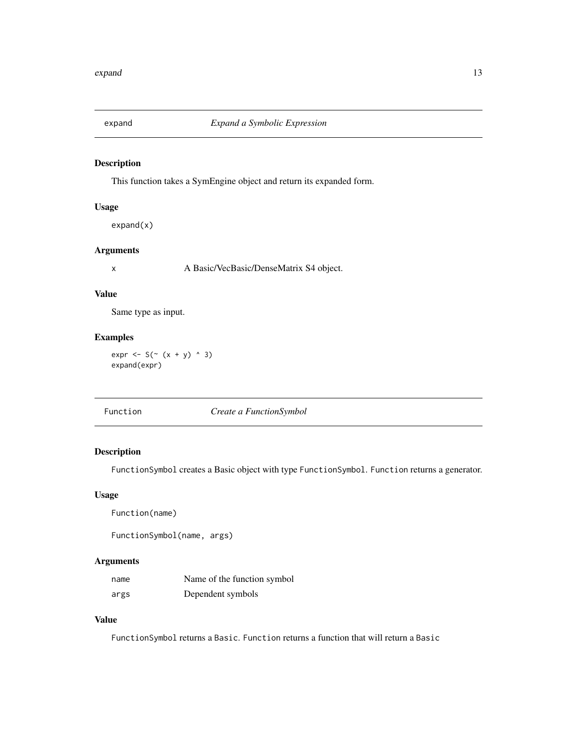<span id="page-12-0"></span>

#### Description

This function takes a SymEngine object and return its expanded form.

#### Usage

expand(x)

#### Arguments

x A Basic/VecBasic/DenseMatrix S4 object.

#### Value

Same type as input.

### Examples

 $expr \le S(\sim (x + y) \land 3)$ expand(expr)

|--|

#### Description

FunctionSymbol creates a Basic object with type FunctionSymbol. Function returns a generator.

#### Usage

```
Function(name)
```
FunctionSymbol(name, args)

#### Arguments

| name | Name of the function symbol |
|------|-----------------------------|
| args | Dependent symbols           |

#### Value

FunctionSymbol returns a Basic. Function returns a function that will return a Basic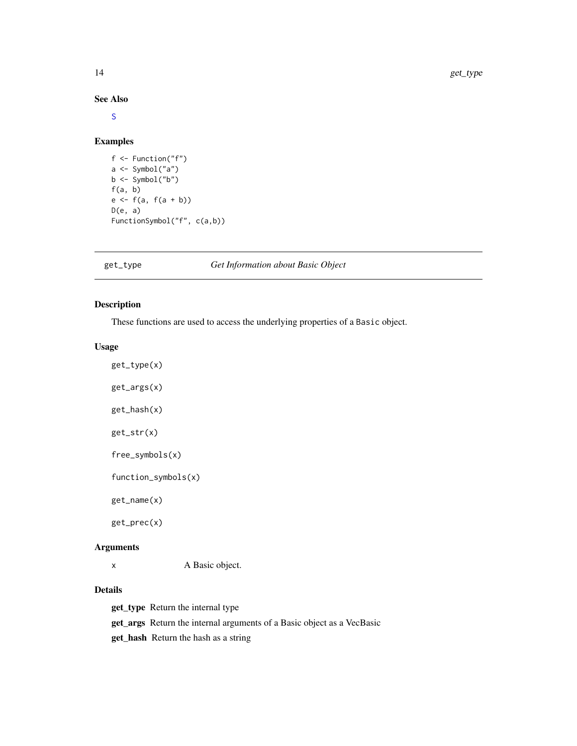#### See Also

#### [S](#page-18-1)

#### Examples

```
f <- Function("f")
a \leftarrow \text{Symbol("a")}b <- Symbol("b")
f(a, b)e <- f(a, f(a + b))
D(e, a)FunctionSymbol("f", c(a,b))
```
<span id="page-13-1"></span>get\_type *Get Information about Basic Object*

#### <span id="page-13-2"></span>Description

These functions are used to access the underlying properties of a Basic object.

#### Usage

get\_type(x) get\_args(x) get\_hash(x) get\_str(x) free\_symbols(x) function\_symbols(x) get\_name(x)

get\_prec(x)

#### Arguments

x A Basic object.

### Details

get\_type Return the internal type

get\_args Return the internal arguments of a Basic object as a VecBasic

get\_hash Return the hash as a string

<span id="page-13-0"></span>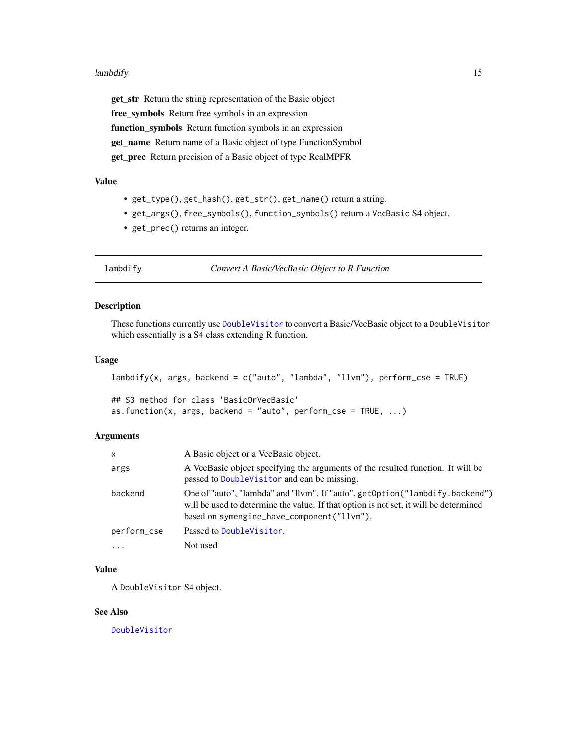#### <span id="page-14-0"></span>lambdify the contract of the contract of the contract of the contract of the contract of the contract of the contract of the contract of the contract of the contract of the contract of the contract of the contract of the c

get\_str Return the string representation of the Basic object free\_symbols Return free symbols in an expression function\_symbols Return function symbols in an expression get\_name Return name of a Basic object of type FunctionSymbol get\_prec Return precision of a Basic object of type RealMPFR

#### Value

- get\_type(), get\_hash(), get\_str(), get\_name() return a string.
- get\_args(), free\_symbols(), function\_symbols() return a VecBasic S4 object.
- get\_prec() returns an integer.

<span id="page-14-1"></span>

lambdify *Convert A Basic/VecBasic Object to R Function*

#### Description

These functions currently use [DoubleVisitor](#page-8-1) to convert a Basic/VecBasic object to a DoubleVisitor which essentially is a S4 class extending R function.

#### Usage

```
lambdify(x, args, backend = c("auto", "lambda", "llvm"), perform_cse = TRUE)
```

```
## S3 method for class 'BasicOrVecBasic'
as.function(x, args, backend = "auto", perform_cse = TRUE, \dots)
```
#### Arguments

| x           | A Basic object or a VecBasic object.                                                                                                                                                                                |
|-------------|---------------------------------------------------------------------------------------------------------------------------------------------------------------------------------------------------------------------|
| args        | A VecBasic object specifying the arguments of the resulted function. It will be<br>passed to DoubleVisitor and can be missing.                                                                                      |
| backend     | One of "auto", "lambda" and "llvm". If "auto", getOption("lambdify.backend")<br>will be used to determine the value. If that option is not set, it will be determined<br>based on symengine_have_component("llvm"). |
| perform_cse | Passed to DoubleVisitor.                                                                                                                                                                                            |
| $\ddots$ .  | Not used                                                                                                                                                                                                            |

#### Value

A DoubleVisitor S4 object.

#### See Also

[DoubleVisitor](#page-8-1)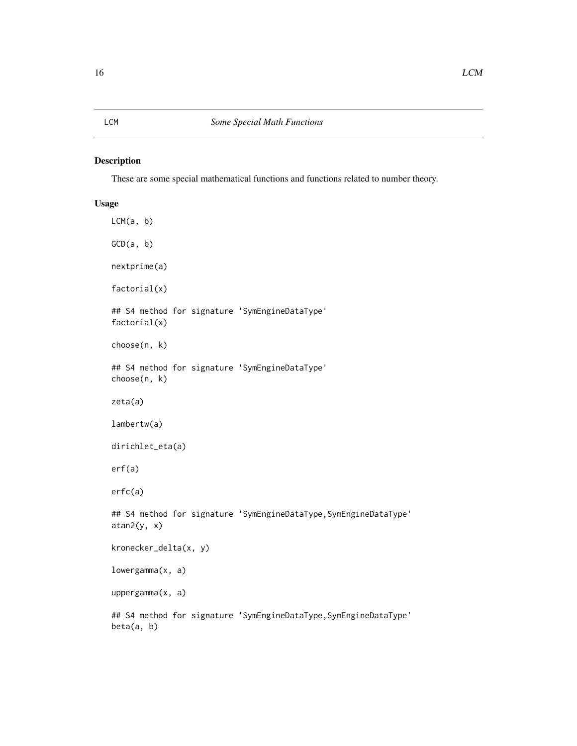#### <span id="page-15-0"></span>LCM *Some Special Math Functions*

#### Description

These are some special mathematical functions and functions related to number theory.

#### Usage

```
LCM(a, b)GCD(a, b)nextprime(a)
factorial(x)
## S4 method for signature 'SymEngineDataType'
factorial(x)
choose(n, k)
## S4 method for signature 'SymEngineDataType'
choose(n, k)
zeta(a)
lambertw(a)
dirichlet_eta(a)
erf(a)
erfc(a)
## S4 method for signature 'SymEngineDataType,SymEngineDataType'
atan2(y, x)
kronecker_delta(x, y)
lowergamma(x, a)
uppergamma(x, a)
## S4 method for signature 'SymEngineDataType,SymEngineDataType'
beta(a, b)
```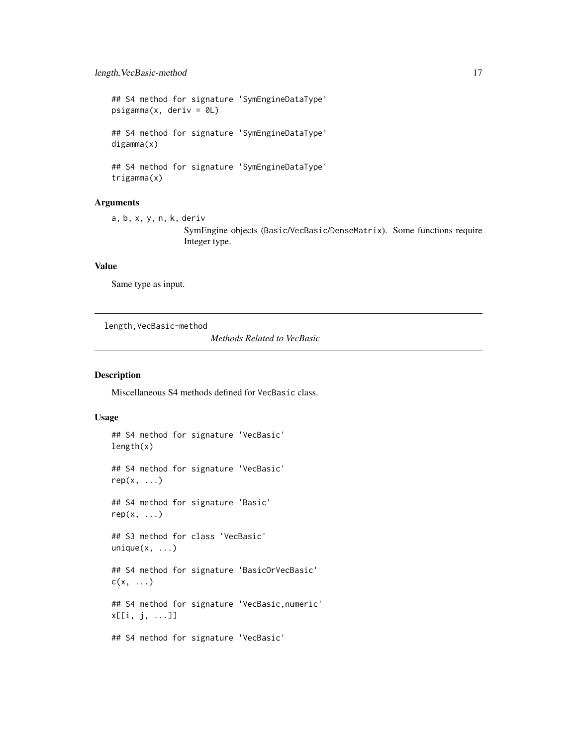<span id="page-16-0"></span>## S4 method for signature 'SymEngineDataType'  $psigamma(x, deriv = 0L)$ ## S4 method for signature 'SymEngineDataType' digamma(x) ## S4 method for signature 'SymEngineDataType' trigamma(x)

#### Arguments

a, b, x, y, n, k, deriv SymEngine objects (Basic/VecBasic/DenseMatrix). Some functions require Integer type.

#### Value

Same type as input.

length,VecBasic-method

*Methods Related to VecBasic*

#### Description

Miscellaneous S4 methods defined for VecBasic class.

#### Usage

## S4 method for signature 'VecBasic' length(x) ## S4 method for signature 'VecBasic'  $rep(x, \ldots)$ ## S4 method for signature 'Basic'  $rep(x, \ldots)$ ## S3 method for class 'VecBasic'  $unique(x, \ldots)$ 

## S4 method for signature 'BasicOrVecBasic'  $c(x, \ldots)$ 

## S4 method for signature 'VecBasic,numeric' x[[i, j, ...]]

## S4 method for signature 'VecBasic'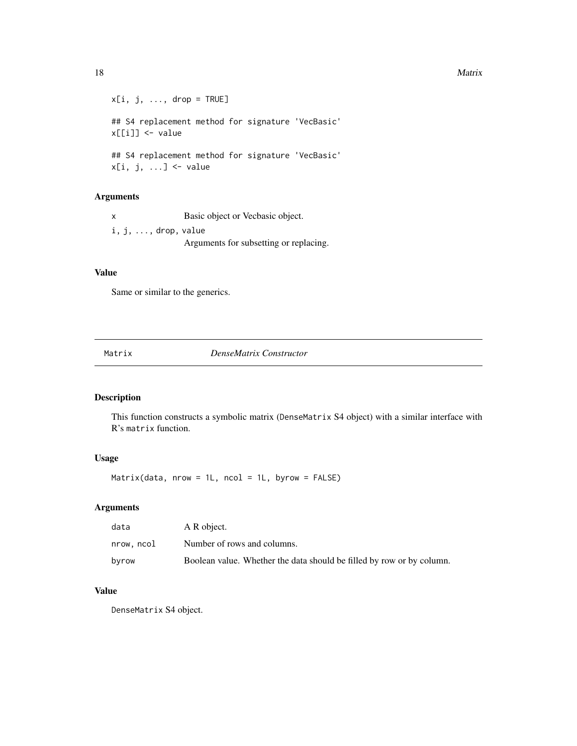```
x[i, j, ..., drop = TRUE]## S4 replacement method for signature 'VecBasic'
x[[i]] <- value
## S4 replacement method for signature 'VecBasic'
x[i, j, ...] <- value
```
#### Arguments

x Basic object or Vecbasic object. i, j, ..., drop, value Arguments for subsetting or replacing.

#### Value

Same or similar to the generics.

<span id="page-17-1"></span>Matrix *DenseMatrix Constructor*

#### Description

This function constructs a symbolic matrix (DenseMatrix S4 object) with a similar interface with R's matrix function.

#### Usage

Matrix(data, nrow = 1L, ncol = 1L, byrow =  $FALSE)$ 

#### Arguments

| data       | A R object.                                                           |
|------------|-----------------------------------------------------------------------|
| nrow, ncol | Number of rows and columns.                                           |
| byrow      | Boolean value. Whether the data should be filled by row or by column. |

#### Value

DenseMatrix S4 object.

<span id="page-17-0"></span>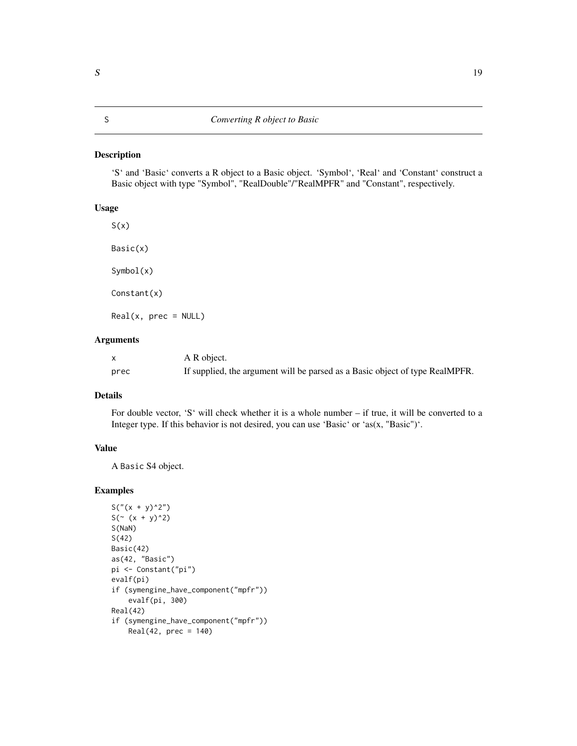#### <span id="page-18-2"></span><span id="page-18-1"></span><span id="page-18-0"></span>Description

'S' and 'Basic' converts a R object to a Basic object. 'Symbol', 'Real' and 'Constant' construct a Basic object with type "Symbol", "RealDouble"/"RealMPFR" and "Constant", respectively.

#### Usage

 $S(x)$ Basic(x) Symbol(x) Constant(x)  $Real(x, prec = NULL)$ 

#### Arguments

|      | A R object.                                                                  |
|------|------------------------------------------------------------------------------|
| prec | If supplied, the argument will be parsed as a Basic object of type RealMPFR. |

#### Details

For double vector, 'S' will check whether it is a whole number – if true, it will be converted to a Integer type. If this behavior is not desired, you can use 'Basic' or 'as(x, "Basic")'.

#### Value

A Basic S4 object.

#### Examples

```
S("(x + y)^2")S(^{2} (x + y)^{2})S(NaN)
S(42)
Basic(42)
as(42, "Basic")
pi <- Constant("pi")
evalf(pi)
if (symengine_have_component("mpfr"))
    evalf(pi, 300)
Real(42)
if (symengine_have_component("mpfr"))
    Real(42, prec = 140)
```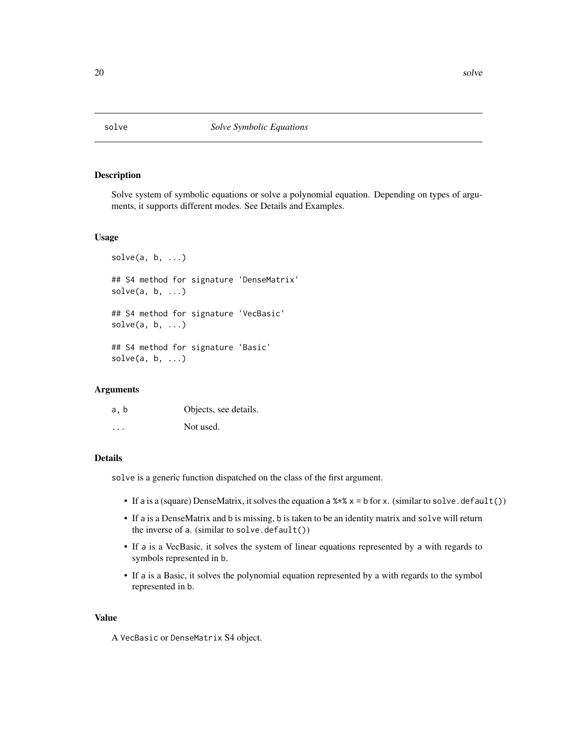<span id="page-19-0"></span>

#### Description

Solve system of symbolic equations or solve a polynomial equation. Depending on types of arguments, it supports different modes. See Details and Examples.

#### Usage

```
solve(a, b, \ldots)## S4 method for signature 'DenseMatrix'
solve(a, b, \ldots)## S4 method for signature 'VecBasic'
solve(a, b, \ldots)## S4 method for signature 'Basic'
solve(a, b, ...)
```
#### Arguments

| a, b    | Objects, see details. |
|---------|-----------------------|
| $\cdot$ | Not used.             |

#### Details

solve is a generic function dispatched on the class of the first argument.

- If a is a (square) DenseMatrix, it solves the equation a  $\frac{1}{2} \times \frac{1}{2}$  is for x. (similar to solve.default())
- If a is a DenseMatrix and b is missing, b is taken to be an identity matrix and solve will return the inverse of a. (similar to solve.default())
- If a is a VecBasic, it solves the system of linear equations represented by a with regards to symbols represented in b.
- If a is a Basic, it solves the polynomial equation represented by a with regards to the symbol represented in b.

#### Value

A VecBasic or DenseMatrix S4 object.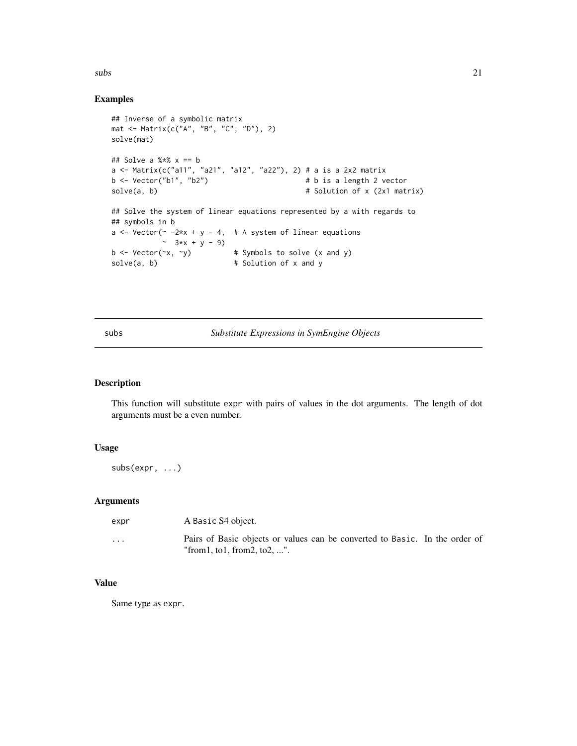<span id="page-20-0"></span> $\mathbf{s}$ ubs  $\mathbf{a}$  21

#### Examples

```
## Inverse of a symbolic matrix
mat <- Matrix(c("A", "B", "C", "D"), 2)
solve(mat)
## Solve a %*% x == b
a <- Matrix(c("a11", "a21", "a12", "a22"), 2) # a is a 2x2 matrix
b \leftarrow Vector("b1", "b2") # b is a length 2 vector
solve(a, b) \qquad # Solution of x (2x1 matrix)
## Solve the system of linear equations represented by a with regards to
## symbols in b
a \le - Vector(\sim -2*x + y - 4, # A system of linear equations
           - 3*x + y - 9)
b \le Vector(\propto, \simy) # Symbols to solve (x and y)
solve(a, b) \qquad # Solution of x and y
```
#### subs *Substitute Expressions in SymEngine Objects*

#### Description

This function will substitute expr with pairs of values in the dot arguments. The length of dot arguments must be a even number.

#### Usage

subs(expr, ...)

#### Arguments

| expr     | A Basic S4 object.                                                                                             |  |
|----------|----------------------------------------------------------------------------------------------------------------|--|
| $\cdots$ | Pairs of Basic objects or values can be converted to Basic. In the order of<br>"from 1, to 1, from 2, to 2, ". |  |

#### Value

Same type as expr.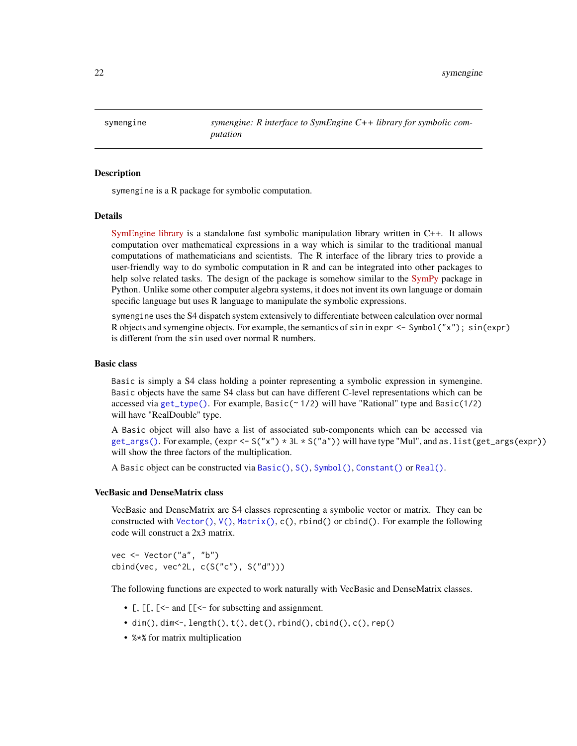<span id="page-21-0"></span>symengine *symengine: R interface to SymEngine C++ library for symbolic computation*

#### Description

symengine is a R package for symbolic computation.

#### Details

[SymEngine library](https://github.com/symengine/) is a standalone fast symbolic manipulation library written in C++. It allows computation over mathematical expressions in a way which is similar to the traditional manual computations of mathematicians and scientists. The R interface of the library tries to provide a user-friendly way to do symbolic computation in R and can be integrated into other packages to help solve related tasks. The design of the package is somehow similar to the [SymPy](https://www.sympy.org) package in Python. Unlike some other computer algebra systems, it does not invent its own language or domain specific language but uses R language to manipulate the symbolic expressions.

symengine uses the S4 dispatch system extensively to differentiate between calculation over normal R objects and symengine objects. For example, the semantics of  $sin in expr \leq Symbol("x")$ ;  $sin(exp)$ is different from the sin used over normal R numbers.

#### Basic class

Basic is simply a S4 class holding a pointer representing a symbolic expression in symengine. Basic objects have the same S4 class but can have different C-level representations which can be accessed via [get\\_type\(\)](#page-13-1). For example, Basic(~ 1/2) will have "Rational" type and Basic(1/2) will have "RealDouble" type.

A Basic object will also have a list of associated sub-components which can be accessed via  $get_{args}()$ . For example,  $(exp < -S('x'') * 3L * S('a''))$  will have type "Mul", and as. list(get\_args(expr)) will show the three factors of the multiplication.

A Basic object can be constructed via [Basic\(\)](#page-18-2), [S\(\)](#page-18-1), [Symbol\(\)](#page-18-2), [Constant\(\)](#page-18-2) or [Real\(\)](#page-18-2).

#### VecBasic and DenseMatrix class

VecBasic and DenseMatrix are S4 classes representing a symbolic vector or matrix. They can be constructed with [Vector\(\)](#page-24-1),  $V()$ , [Matrix\(\)](#page-17-1), c(), rbind() or cbind(). For example the following code will construct a 2x3 matrix.

vec <- Vector("a", "b") cbind(vec, vec^2L, c(S("c"), S("d")))

The following functions are expected to work naturally with VecBasic and DenseMatrix classes.

- [,  $[\cdot]$ ,  $[\cdot]$  and  $[\cdot]$  for subsetting and assignment.
- $\bullet$  dim(), dim <-, length(), t(), det(), rbind(), cbind(), c(), rep()
- %\*% for matrix multiplication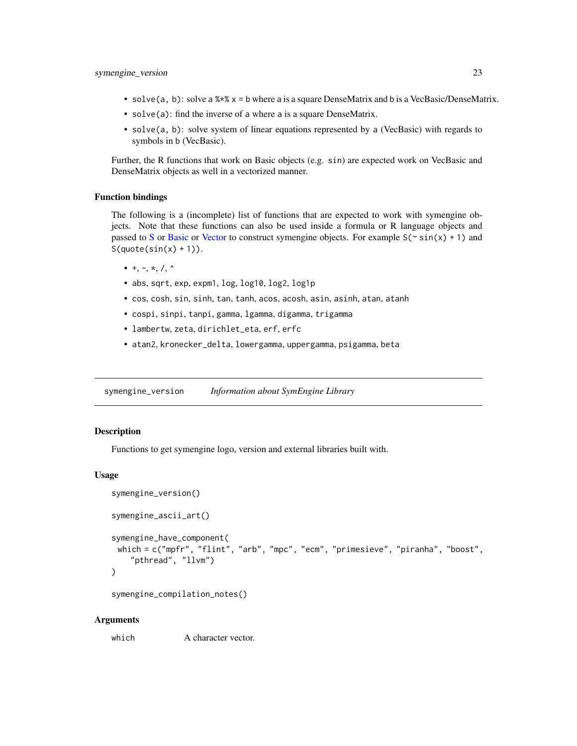- <span id="page-22-0"></span>• solve(a, b): solve a  $\frac{x}{x}$   $\frac{x}{x}$  = b where a is a square DenseMatrix and b is a VecBasic/DenseMatrix.
- solve(a): find the inverse of a where a is a square DenseMatrix.
- solve(a, b): solve system of linear equations represented by a (VecBasic) with regards to symbols in b (VecBasic).

Further, the R functions that work on Basic objects (e.g. sin) are expected work on VecBasic and DenseMatrix objects as well in a vectorized manner.

#### Function bindings

The following is a (incomplete) list of functions that are expected to work with symengine objects. Note that these functions can also be used inside a formula or R language objects and passed to [S](#page-18-1) or [Basic](#page-18-2) or [Vector](#page-24-1) to construct symengine objects. For example  $S(\sim \sin(x) + 1)$  and  $S(quote(sin(x) + 1)).$ 

- $\bullet$  +, -, \*, /, ^
- abs, sqrt, exp, expm1, log, log10, log2, log1p
- cos, cosh, sin, sinh, tan, tanh, acos, acosh, asin, asinh, atan, atanh
- cospi, sinpi, tanpi, gamma, lgamma, digamma, trigamma
- lambertw, zeta, dirichlet\_eta, erf, erfc
- atan2, kronecker\_delta, lowergamma, uppergamma, psigamma, beta

symengine\_version *Information about SymEngine Library*

#### **Description**

Functions to get symengine logo, version and external libraries built with.

#### Usage

```
symengine_version()
symengine_ascii_art()
symengine_have_component(
 which = c("mpfr", "flint", "arb", "mpc", "ecm", "primesieve", "piranha", "boost",
    "pthread", "llvm")
)
```
symengine\_compilation\_notes()

#### Arguments

which A character vector.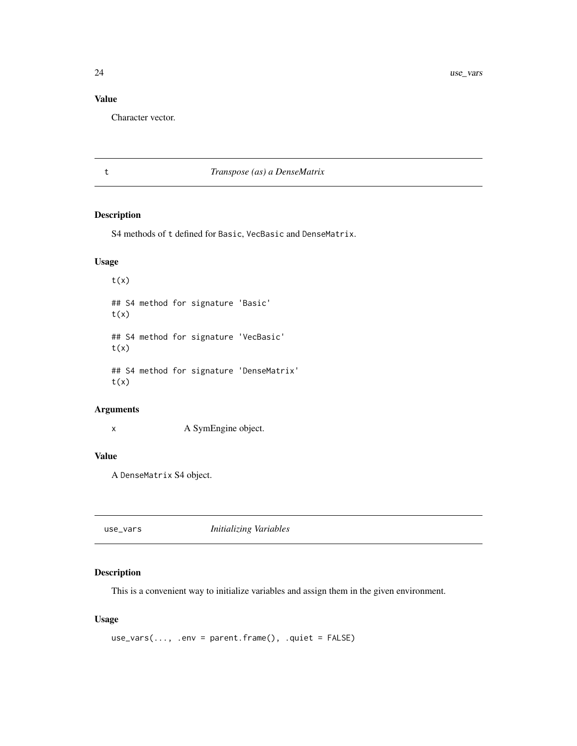<span id="page-23-0"></span>24 use\_vars

#### Value

Character vector.

#### t *Transpose (as) a DenseMatrix*

#### Description

S4 methods of t defined for Basic, VecBasic and DenseMatrix.

#### Usage

 $t(x)$ ## S4 method for signature 'Basic'  $t(x)$ ## S4 method for signature 'VecBasic'  $t(x)$ ## S4 method for signature 'DenseMatrix'  $t(x)$ 

#### Arguments

x A SymEngine object.

#### Value

A DenseMatrix S4 object.

use\_vars *Initializing Variables*

#### Description

This is a convenient way to initialize variables and assign them in the given environment.

#### Usage

 $use\_vars(..., .env = parent-frame(), .quiet = FALSE)$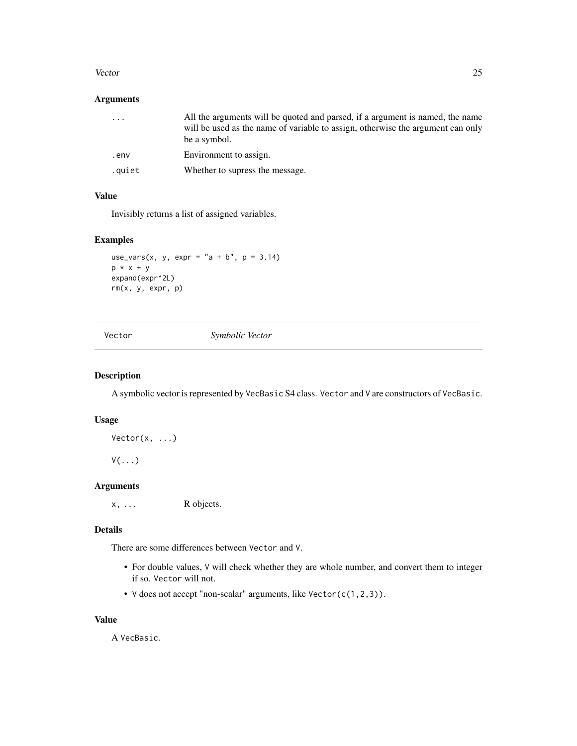#### <span id="page-24-0"></span>Vector 25

#### Arguments

| $\cdots$ | All the arguments will be quoted and parsed, if a argument is named, the name<br>will be used as the name of variable to assign, otherwise the argument can only<br>be a symbol. |
|----------|----------------------------------------------------------------------------------------------------------------------------------------------------------------------------------|
| .env     | Environment to assign.                                                                                                                                                           |
| .quiet   | Whether to supress the message.                                                                                                                                                  |

#### Value

Invisibly returns a list of assigned variables.

#### Examples

```
use_vars(x, y, expr = "a + b", p = 3.14)
p * x + y
expand(expr^2L)
rm(x, y, expr, p)
```
<span id="page-24-1"></span>

Vector *Symbolic Vector*

#### <span id="page-24-2"></span>Description

A symbolic vector is represented by VecBasic S4 class. Vector and V are constructors of VecBasic.

#### Usage

 $Vector(x, \ldots)$ 

 $V(\ldots)$ 

#### Arguments

x, ... R objects.

#### Details

There are some differences between Vector and V.

- For double values, V will check whether they are whole number, and convert them to integer if so. Vector will not.
- V does not accept "non-scalar" arguments, like Vector(c(1,2,3)).

#### Value

A VecBasic.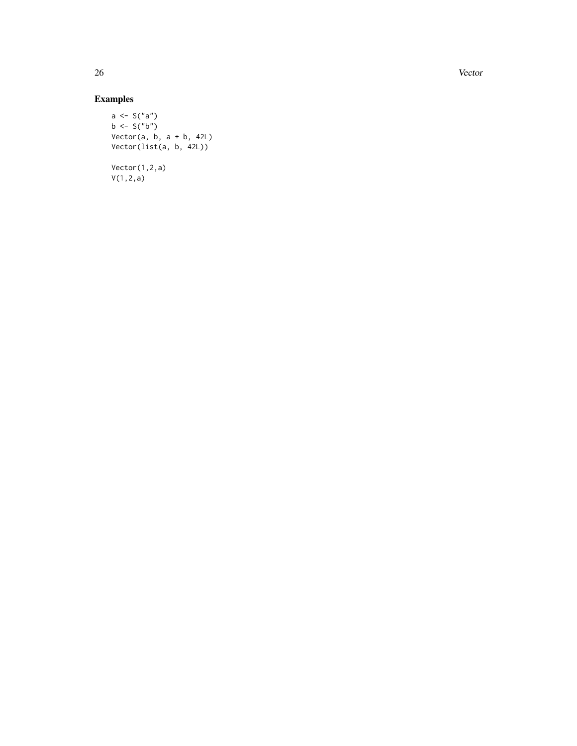26 Vector and the set of the set of the set of the set of the set of the set of the set of the set of the set of the set of the set of the set of the set of the set of the set of the set of the set of the set of the set of

### Examples

```
a <- S("a")
b \leq S("b")Vector(a, b, a + b, 42L)
Vector(list(a, b, 42L))
Vector(1,2,a)
V(1,2,a)
```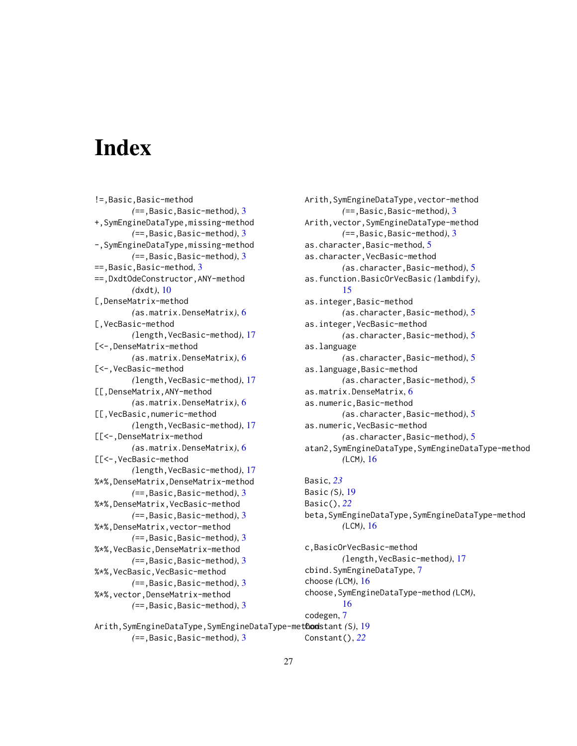# <span id="page-26-0"></span>**Index**

!=,Basic,Basic-method *(*==,Basic,Basic-method*)*, [3](#page-2-0) +,SymEngineDataType,missing-method *(*==,Basic,Basic-method*)*, [3](#page-2-0) -,SymEngineDataType,missing-method *(*==,Basic,Basic-method*)*, [3](#page-2-0) ==,Basic,Basic-method, [3](#page-2-0) ==,DxdtOdeConstructor,ANY-method *(*dxdt*)*, [10](#page-9-0) [,DenseMatrix-method *(*as.matrix.DenseMatrix*)*, [6](#page-5-0) [,VecBasic-method *(*length,VecBasic-method*)*, [17](#page-16-0) [<-,DenseMatrix-method *(*as.matrix.DenseMatrix*)*, [6](#page-5-0) [<-,VecBasic-method *(*length,VecBasic-method*)*, [17](#page-16-0) [[,DenseMatrix,ANY-method *(*as.matrix.DenseMatrix*)*, [6](#page-5-0) [[,VecBasic,numeric-method *(*length,VecBasic-method*)*, [17](#page-16-0) [[<-,DenseMatrix-method *(*as.matrix.DenseMatrix*)*, [6](#page-5-0) [[<-,VecBasic-method *(*length,VecBasic-method*)*, [17](#page-16-0) %\*%,DenseMatrix,DenseMatrix-method *(*==,Basic,Basic-method*)*, [3](#page-2-0) %\*%,DenseMatrix,VecBasic-method *(*==,Basic,Basic-method*)*, [3](#page-2-0) %\*%,DenseMatrix,vector-method *(*==,Basic,Basic-method*)*, [3](#page-2-0) %\*%,VecBasic,DenseMatrix-method *(*==,Basic,Basic-method*)*, [3](#page-2-0) %\*%,VecBasic,VecBasic-method *(*==,Basic,Basic-method*)*, [3](#page-2-0) %\*%,vector,DenseMatrix-method *(*==,Basic,Basic-method*)*, [3](#page-2-0)

Arith,SymEngineDataType,vector-method *(*==,Basic,Basic-method*)*, [3](#page-2-0) Arith,vector,SymEngineDataType-method *(*==,Basic,Basic-method*)*, [3](#page-2-0) as.character,Basic-method, [5](#page-4-0) as.character,VecBasic-method *(*as.character,Basic-method*)*, [5](#page-4-0) as.function.BasicOrVecBasic *(*lambdify*)*, [15](#page-14-0) as.integer,Basic-method *(*as.character,Basic-method*)*, [5](#page-4-0) as.integer,VecBasic-method *(*as.character,Basic-method*)*, [5](#page-4-0) as.language *(*as.character,Basic-method*)*, [5](#page-4-0) as.language,Basic-method *(*as.character,Basic-method*)*, [5](#page-4-0) as.matrix.DenseMatrix, [6](#page-5-0) as.numeric,Basic-method *(*as.character,Basic-method*)*, [5](#page-4-0) as.numeric,VecBasic-method *(*as.character,Basic-method*)*, [5](#page-4-0) atan2,SymEngineDataType,SymEngineDataType-method *(*LCM*)*, [16](#page-15-0) Basic, *[23](#page-22-0)* Basic *(*S*)*, [19](#page-18-0) Basic(), *[22](#page-21-0)* beta,SymEngineDataType,SymEngineDataType-method *(*LCM*)*, [16](#page-15-0) c,BasicOrVecBasic-method *(*length,VecBasic-method*)*, [17](#page-16-0) cbind.SymEngineDataType, [7](#page-6-0) choose *(*LCM*)*, [16](#page-15-0) choose,SymEngineDataType-method *(*LCM*)*,

```
Arith,SymEngineDataType,SymEngineDataType-method
Constant (S), 19
        (==,Basic,Basic-method), 3
                                                 Constant(), 22
```
[16](#page-15-0)

codegen, [7](#page-6-0)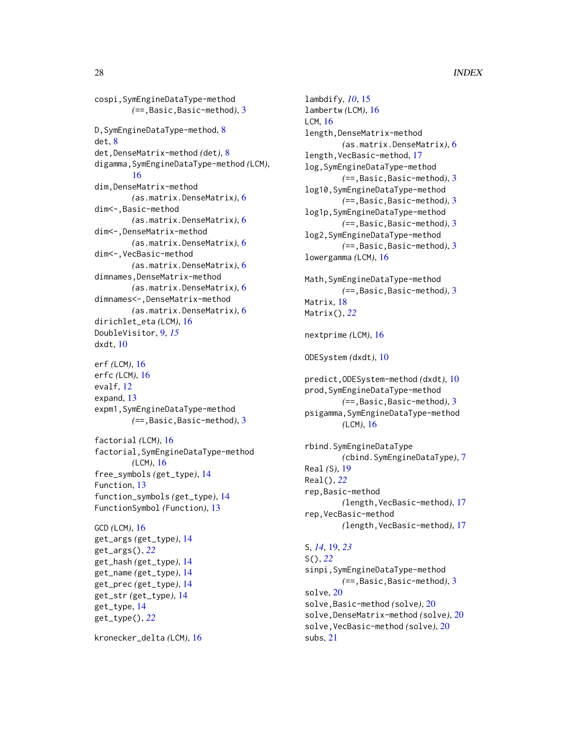cospi,SymEngineDataType-method *(*==,Basic,Basic-method*)*, [3](#page-2-0) D, SymEngineDataType-method, [8](#page-7-0) det, [8](#page-7-0) det,DenseMatrix-method *(*det*)*, [8](#page-7-0) digamma,SymEngineDataType-method *(*LCM*)*, [16](#page-15-0) dim,DenseMatrix-method *(*as.matrix.DenseMatrix*)*, [6](#page-5-0) dim<-,Basic-method *(*as.matrix.DenseMatrix*)*, [6](#page-5-0) dim<-,DenseMatrix-method *(*as.matrix.DenseMatrix*)*, [6](#page-5-0) dim<-,VecBasic-method *(*as.matrix.DenseMatrix*)*, [6](#page-5-0) dimnames,DenseMatrix-method *(*as.matrix.DenseMatrix*)*, [6](#page-5-0) dimnames<-,DenseMatrix-method *(*as.matrix.DenseMatrix*)*, [6](#page-5-0) dirichlet\_eta *(*LCM*)*, [16](#page-15-0) DoubleVisitor, [9,](#page-8-0) *[15](#page-14-0)* dxdt, [10](#page-9-0) erf *(*LCM*)*, [16](#page-15-0) erfc *(*LCM*)*, [16](#page-15-0) evalf, [12](#page-11-0) expand, [13](#page-12-0) expm1,SymEngineDataType-method *(*==,Basic,Basic-method*)*, [3](#page-2-0) factorial *(*LCM*)*, [16](#page-15-0) factorial,SymEngineDataType-method *(*LCM*)*, [16](#page-15-0) free\_symbols *(*get\_type*)*, [14](#page-13-0) Function, [13](#page-12-0) function\_symbols *(*get\_type*)*, [14](#page-13-0) FunctionSymbol *(*Function*)*, [13](#page-12-0) GCD *(*LCM*)*, [16](#page-15-0) get\_args *(*get\_type*)*, [14](#page-13-0) get\_args(), *[22](#page-21-0)* get\_hash *(*get\_type*)*, [14](#page-13-0) get\_name *(*get\_type*)*, [14](#page-13-0) get\_prec *(*get\_type*)*, [14](#page-13-0) get\_str *(*get\_type*)*, [14](#page-13-0) get\_type, [14](#page-13-0) get\_type(), *[22](#page-21-0)*

kronecker\_delta *(*LCM*)*, [16](#page-15-0)

lambdify, *[10](#page-9-0)*, [15](#page-14-0) lambertw *(*LCM*)*, [16](#page-15-0) LCM, [16](#page-15-0) length, DenseMatrix-method *(*as.matrix.DenseMatrix*)*, [6](#page-5-0) length,VecBasic-method, [17](#page-16-0) log,SymEngineDataType-method *(*==,Basic,Basic-method*)*, [3](#page-2-0) log10,SymEngineDataType-method *(*==,Basic,Basic-method*)*, [3](#page-2-0) log1p,SymEngineDataType-method *(*==,Basic,Basic-method*)*, [3](#page-2-0) log2,SymEngineDataType-method *(*==,Basic,Basic-method*)*, [3](#page-2-0) lowergamma *(*LCM*)*, [16](#page-15-0) Math,SymEngineDataType-method *(*==,Basic,Basic-method*)*, [3](#page-2-0) Matrix, [18](#page-17-0) Matrix(), *[22](#page-21-0)* nextprime *(*LCM*)*, [16](#page-15-0) ODESystem *(*dxdt*)*, [10](#page-9-0) predict,ODESystem-method *(*dxdt*)*, [10](#page-9-0) prod,SymEngineDataType-method *(*==,Basic,Basic-method*)*, [3](#page-2-0) psigamma,SymEngineDataType-method *(*LCM*)*, [16](#page-15-0)

rbind.SymEngineDataType *(*cbind.SymEngineDataType*)*, [7](#page-6-0) Real *(*S*)*, [19](#page-18-0) Real(), *[22](#page-21-0)* rep,Basic-method *(*length,VecBasic-method*)*, [17](#page-16-0) rep,VecBasic-method *(*length,VecBasic-method*)*, [17](#page-16-0)

#### S, *[14](#page-13-0)*, [19,](#page-18-0) *[23](#page-22-0)*

S(), *[22](#page-21-0)* sinpi,SymEngineDataType-method *(*==,Basic,Basic-method*)*, [3](#page-2-0) solve, [20](#page-19-0) solve,Basic-method *(*solve*)*, [20](#page-19-0) solve,DenseMatrix-method *(*solve*)*, [20](#page-19-0) solve,VecBasic-method *(*solve*)*, [20](#page-19-0) subs, [21](#page-20-0)